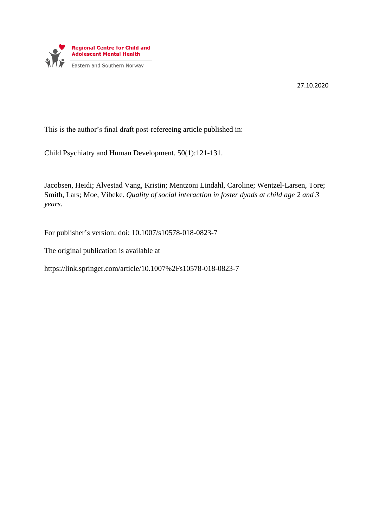

27.10.2020

This is the author's final draft post-refereeing article published in:

Child Psychiatry and Human Development*.* 50(1):121-131.

Jacobsen, Heidi; Alvestad Vang, Kristin; Mentzoni Lindahl, Caroline; Wentzel-Larsen, Tore; Smith, Lars; Moe, Vibeke. *Quality of social interaction in foster dyads at child age 2 and 3 years*.

For publisher's version: doi: 10.1007/s10578-018-0823-7

The original publication is available at

https://link.springer.com/article/10.1007%2Fs10578-018-0823-7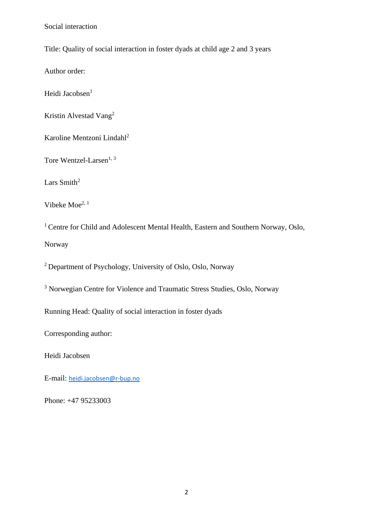Title: Quality of social interaction in foster dyads at child age 2 and 3 years

Author order:

Heidi Jacobsen<sup>1</sup>

Kristin Alvestad Vang<sup>2</sup>

Karoline Mentzoni Lindahl<sup>2</sup>

Tore Wentzel-Larsen<sup>1, 3</sup>

Lars Smith<sup>2</sup>

Vibeke Moe2, 1

<sup>1</sup> Centre for Child and Adolescent Mental Health, Eastern and Southern Norway, Oslo, Norway

<sup>2</sup> Department of Psychology, University of Oslo, Oslo, Norway

<sup>3</sup> Norwegian Centre for Violence and Traumatic Stress Studies, Oslo, Norway

Running Head: Quality of social interaction in foster dyads

Corresponding author:

Heidi Jacobsen

E-mail: [heidi.jacobsen@r-bup.no](mailto:heidi.jacobsen@r-bup.no)

Phone: +47 95233003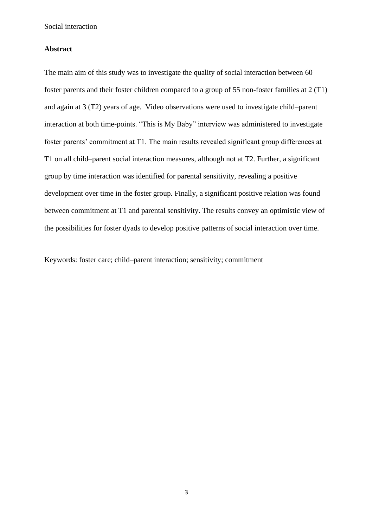# **Abstract**

The main aim of this study was to investigate the quality of social interaction between 60 foster parents and their foster children compared to a group of 55 non-foster families at 2 (T1) and again at 3 (T2) years of age. Video observations were used to investigate child–parent interaction at both time-points. "This is My Baby" interview was administered to investigate foster parents' commitment at T1. The main results revealed significant group differences at T1 on all child–parent social interaction measures, although not at T2. Further, a significant group by time interaction was identified for parental sensitivity, revealing a positive development over time in the foster group. Finally, a significant positive relation was found between commitment at T1 and parental sensitivity. The results convey an optimistic view of the possibilities for foster dyads to develop positive patterns of social interaction over time.

Keywords: foster care; child–parent interaction; sensitivity; commitment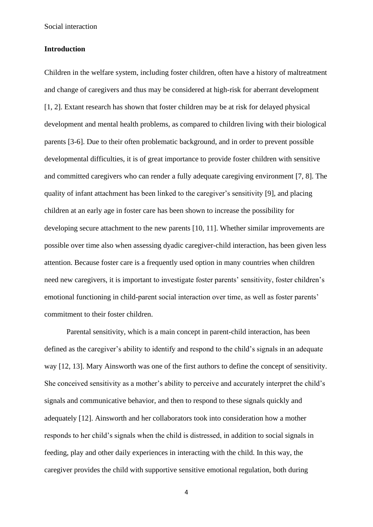# **Introduction**

Children in the welfare system, including foster children, often have a history of maltreatment and change of caregivers and thus may be considered at high-risk for aberrant development [1, 2]. Extant research has shown that foster children may be at risk for delayed physical development and mental health problems, as compared to children living with their biological parents [3-6]. Due to their often problematic background, and in order to prevent possible developmental difficulties, it is of great importance to provide foster children with sensitive and committed caregivers who can render a fully adequate caregiving environment [7, 8]. The quality of infant attachment has been linked to the caregiver's sensitivity [9], and placing children at an early age in foster care has been shown to increase the possibility for developing secure attachment to the new parents [10, 11]. Whether similar improvements are possible over time also when assessing dyadic caregiver-child interaction, has been given less attention. Because foster care is a frequently used option in many countries when children need new caregivers, it is important to investigate foster parents' sensitivity, foster children's emotional functioning in child-parent social interaction over time, as well as foster parents' commitment to their foster children.

Parental sensitivity, which is a main concept in parent-child interaction, has been defined as the caregiver's ability to identify and respond to the child's signals in an adequate way [12, 13]. Mary Ainsworth was one of the first authors to define the concept of sensitivity. She conceived sensitivity as a mother's ability to perceive and accurately interpret the child's signals and communicative behavior, and then to respond to these signals quickly and adequately [12]. Ainsworth and her collaborators took into consideration how a mother responds to her child's signals when the child is distressed, in addition to social signals in feeding, play and other daily experiences in interacting with the child. In this way, the caregiver provides the child with supportive sensitive emotional regulation, both during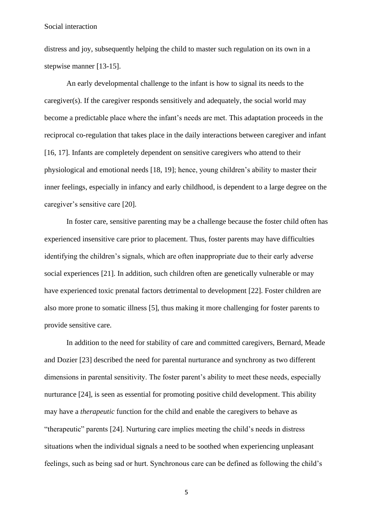distress and joy, subsequently helping the child to master such regulation on its own in a stepwise manner [13-15].

An early developmental challenge to the infant is how to signal its needs to the caregiver(s). If the caregiver responds sensitively and adequately, the social world may become a predictable place where the infant's needs are met. This adaptation proceeds in the reciprocal co-regulation that takes place in the daily interactions between caregiver and infant [16, 17]. Infants are completely dependent on sensitive caregivers who attend to their physiological and emotional needs [18, 19]; hence, young children's ability to master their inner feelings, especially in infancy and early childhood, is dependent to a large degree on the caregiver's sensitive care [20].

In foster care, sensitive parenting may be a challenge because the foster child often has experienced insensitive care prior to placement. Thus, foster parents may have difficulties identifying the children's signals, which are often inappropriate due to their early adverse social experiences [21]. In addition, such children often are genetically vulnerable or may have experienced toxic prenatal factors detrimental to development [22]. Foster children are also more prone to somatic illness [5], thus making it more challenging for foster parents to provide sensitive care.

In addition to the need for stability of care and committed caregivers, Bernard, Meade and Dozier [23] described the need for parental nurturance and synchrony as two different dimensions in parental sensitivity. The foster parent's ability to meet these needs, especially nurturance [24], is seen as essential for promoting positive child development. This ability may have a *therapeutic* function for the child and enable the caregivers to behave as "therapeutic" parents [24]. Nurturing care implies meeting the child's needs in distress situations when the individual signals a need to be soothed when experiencing unpleasant feelings, such as being sad or hurt. Synchronous care can be defined as following the child's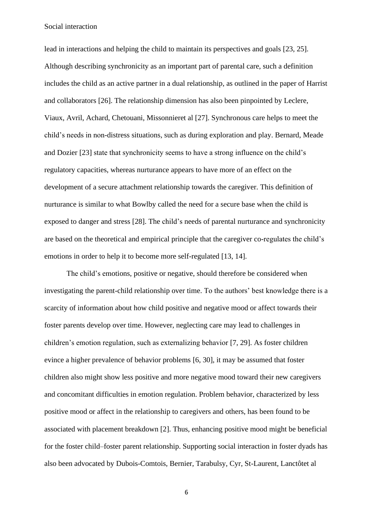lead in interactions and helping the child to maintain its perspectives and goals [23, 25]. Although describing synchronicity as an important part of parental care, such a definition includes the child as an active partner in a dual relationship, as outlined in the paper of Harrist and collaborators [26]. The relationship dimension has also been pinpointed by Leclere, Viaux, Avril, Achard, Chetouani, Missonnieret al [27]. Synchronous care helps to meet the child's needs in non-distress situations, such as during exploration and play. Bernard, Meade and Dozier [23] state that synchronicity seems to have a strong influence on the child's regulatory capacities, whereas nurturance appears to have more of an effect on the development of a secure attachment relationship towards the caregiver. This definition of nurturance is similar to what Bowlby called the need for a secure base when the child is exposed to danger and stress [28]. The child's needs of parental nurturance and synchronicity are based on the theoretical and empirical principle that the caregiver co-regulates the child's emotions in order to help it to become more self-regulated [13, 14].

The child's emotions, positive or negative, should therefore be considered when investigating the parent-child relationship over time. To the authors' best knowledge there is a scarcity of information about how child positive and negative mood or affect towards their foster parents develop over time. However, neglecting care may lead to challenges in children's emotion regulation, such as externalizing behavior [7, 29]. As foster children evince a higher prevalence of behavior problems [6, 30], it may be assumed that foster children also might show less positive and more negative mood toward their new caregivers and concomitant difficulties in emotion regulation. Problem behavior, characterized by less positive mood or affect in the relationship to caregivers and others, has been found to be associated with placement breakdown [2]. Thus, enhancing positive mood might be beneficial for the foster child–foster parent relationship. Supporting social interaction in foster dyads has also been advocated by Dubois-Comtois, Bernier, Tarabulsy, Cyr, St-Laurent, Lanctôtet al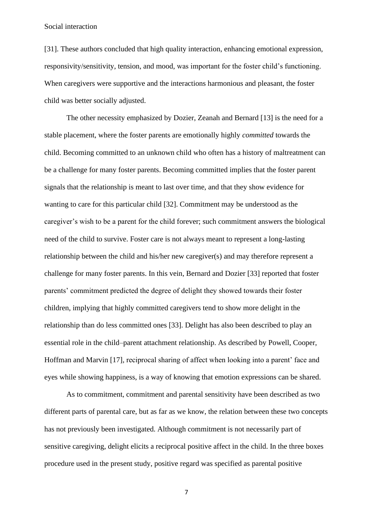[31]. These authors concluded that high quality interaction, enhancing emotional expression, responsivity/sensitivity, tension, and mood, was important for the foster child's functioning. When caregivers were supportive and the interactions harmonious and pleasant, the foster child was better socially adjusted.

The other necessity emphasized by Dozier, Zeanah and Bernard [13] is the need for a stable placement, where the foster parents are emotionally highly *committed* towards the child. Becoming committed to an unknown child who often has a history of maltreatment can be a challenge for many foster parents. Becoming committed implies that the foster parent signals that the relationship is meant to last over time, and that they show evidence for wanting to care for this particular child [32]. Commitment may be understood as the caregiver's wish to be a parent for the child forever; such commitment answers the biological need of the child to survive. Foster care is not always meant to represent a long-lasting relationship between the child and his/her new caregiver(s) and may therefore represent a challenge for many foster parents. In this vein, Bernard and Dozier [33] reported that foster parents' commitment predicted the degree of delight they showed towards their foster children, implying that highly committed caregivers tend to show more delight in the relationship than do less committed ones [33]. Delight has also been described to play an essential role in the child–parent attachment relationship. As described by Powell, Cooper, Hoffman and Marvin [17], reciprocal sharing of affect when looking into a parent' face and eyes while showing happiness, is a way of knowing that emotion expressions can be shared.

As to commitment, commitment and parental sensitivity have been described as two different parts of parental care, but as far as we know, the relation between these two concepts has not previously been investigated. Although commitment is not necessarily part of sensitive caregiving, delight elicits a reciprocal positive affect in the child. In the three boxes procedure used in the present study, positive regard was specified as parental positive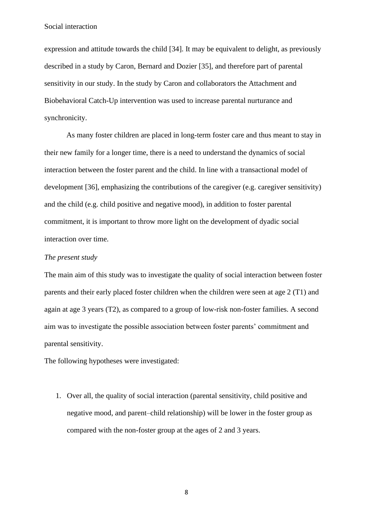expression and attitude towards the child [34]. It may be equivalent to delight, as previously described in a study by Caron, Bernard and Dozier [35], and therefore part of parental sensitivity in our study. In the study by Caron and collaborators the Attachment and Biobehavioral Catch-Up intervention was used to increase parental nurturance and synchronicity.

As many foster children are placed in long-term foster care and thus meant to stay in their new family for a longer time, there is a need to understand the dynamics of social interaction between the foster parent and the child. In line with a transactional model of development [36], emphasizing the contributions of the caregiver (e.g. caregiver sensitivity) and the child (e.g. child positive and negative mood), in addition to foster parental commitment, it is important to throw more light on the development of dyadic social interaction over time.

## *The present study*

The main aim of this study was to investigate the quality of social interaction between foster parents and their early placed foster children when the children were seen at age 2 (T1) and again at age 3 years (T2), as compared to a group of low-risk non-foster families. A second aim was to investigate the possible association between foster parents' commitment and parental sensitivity.

The following hypotheses were investigated:

1. Over all, the quality of social interaction (parental sensitivity, child positive and negative mood, and parent–child relationship) will be lower in the foster group as compared with the non-foster group at the ages of 2 and 3 years.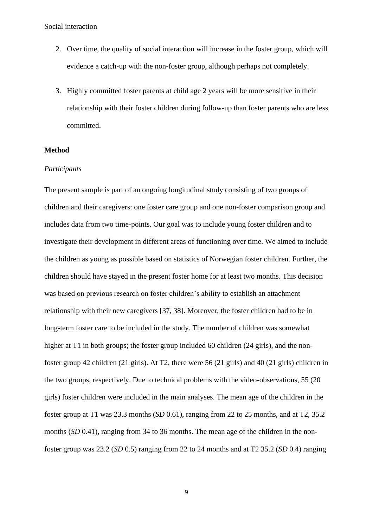- 2. Over time, the quality of social interaction will increase in the foster group, which will evidence a catch-up with the non-foster group, although perhaps not completely.
- 3. Highly committed foster parents at child age 2 years will be more sensitive in their relationship with their foster children during follow-up than foster parents who are less committed.

# **Method**

# *Participants*

The present sample is part of an ongoing longitudinal study consisting of two groups of children and their caregivers: one foster care group and one non-foster comparison group and includes data from two time-points. Our goal was to include young foster children and to investigate their development in different areas of functioning over time. We aimed to include the children as young as possible based on statistics of Norwegian foster children. Further, the children should have stayed in the present foster home for at least two months. This decision was based on previous research on foster children's ability to establish an attachment relationship with their new caregivers [37, 38]. Moreover, the foster children had to be in long-term foster care to be included in the study. The number of children was somewhat higher at T1 in both groups; the foster group included 60 children (24 girls), and the nonfoster group 42 children (21 girls). At T2, there were 56 (21 girls) and 40 (21 girls) children in the two groups, respectively. Due to technical problems with the video-observations, 55 (20 girls) foster children were included in the main analyses. The mean age of the children in the foster group at T1 was 23.3 months (*SD* 0.61), ranging from 22 to 25 months, and at T2, 35.2 months (*SD* 0.41), ranging from 34 to 36 months. The mean age of the children in the nonfoster group was 23.2 (*SD* 0.5) ranging from 22 to 24 months and at T2 35.2 (*SD* 0.4) ranging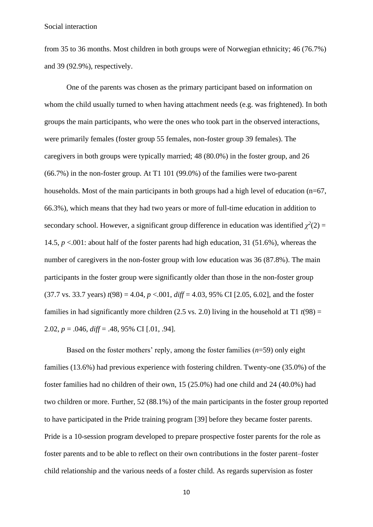from 35 to 36 months. Most children in both groups were of Norwegian ethnicity; 46 (76.7%) and 39 (92.9%), respectively.

One of the parents was chosen as the primary participant based on information on whom the child usually turned to when having attachment needs (e.g. was frightened). In both groups the main participants, who were the ones who took part in the observed interactions, were primarily females (foster group 55 females, non-foster group 39 females). The caregivers in both groups were typically married; 48 (80.0%) in the foster group, and 26 (66.7%) in the non-foster group. At T1 101 (99.0%) of the families were two-parent households. Most of the main participants in both groups had a high level of education  $(n=67,$ 66.3%), which means that they had two years or more of full-time education in addition to secondary school. However, a significant group difference in education was identified  $\chi^2(2)$  = 14.5, *p* <.001: about half of the foster parents had high education, 31 (51.6%), whereas the number of caregivers in the non-foster group with low education was 36 (87.8%). The main participants in the foster group were significantly older than those in the non-foster group (37.7 vs. 33.7 years)  $t(98) = 4.04$ ,  $p < .001$ ,  $diff = 4.03$ , 95% CI [2.05, 6.02], and the foster families in had significantly more children (2.5 vs. 2.0) living in the household at T1  $t(98) =$ 2.02, *p* = .046, *diff* = .48, 95% CI [.01, .94].

Based on the foster mothers' reply, among the foster families (*n*=59) only eight families (13.6%) had previous experience with fostering children. Twenty-one (35.0%) of the foster families had no children of their own, 15 (25.0%) had one child and 24 (40.0%) had two children or more. Further, 52 (88.1%) of the main participants in the foster group reported to have participated in the Pride training program [39] before they became foster parents. Pride is a 10-session program developed to prepare prospective foster parents for the role as foster parents and to be able to reflect on their own contributions in the foster parent–foster child relationship and the various needs of a foster child. As regards supervision as foster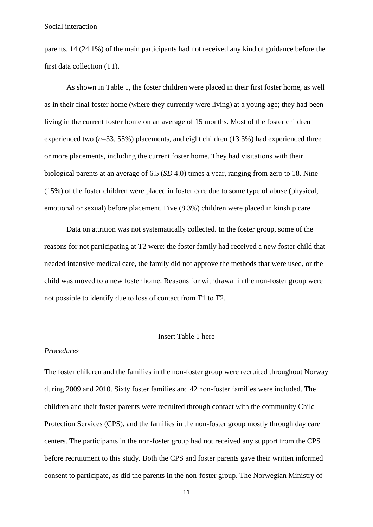parents, 14 (24.1%) of the main participants had not received any kind of guidance before the first data collection (T1).

As shown in Table 1, the foster children were placed in their first foster home, as well as in their final foster home (where they currently were living) at a young age; they had been living in the current foster home on an average of 15 months. Most of the foster children experienced two (*n*=33, 55%) placements, and eight children (13.3%) had experienced three or more placements, including the current foster home. They had visitations with their biological parents at an average of 6.5 (*SD* 4.0) times a year, ranging from zero to 18. Nine (15%) of the foster children were placed in foster care due to some type of abuse (physical, emotional or sexual) before placement. Five (8.3%) children were placed in kinship care.

Data on attrition was not systematically collected. In the foster group, some of the reasons for not participating at T2 were: the foster family had received a new foster child that needed intensive medical care, the family did not approve the methods that were used, or the child was moved to a new foster home. Reasons for withdrawal in the non-foster group were not possible to identify due to loss of contact from T1 to T2.

#### Insert Table 1 here

#### *Procedures*

The foster children and the families in the non-foster group were recruited throughout Norway during 2009 and 2010. Sixty foster families and 42 non-foster families were included. The children and their foster parents were recruited through contact with the community Child Protection Services (CPS), and the families in the non-foster group mostly through day care centers. The participants in the non-foster group had not received any support from the CPS before recruitment to this study. Both the CPS and foster parents gave their written informed consent to participate, as did the parents in the non-foster group. The Norwegian Ministry of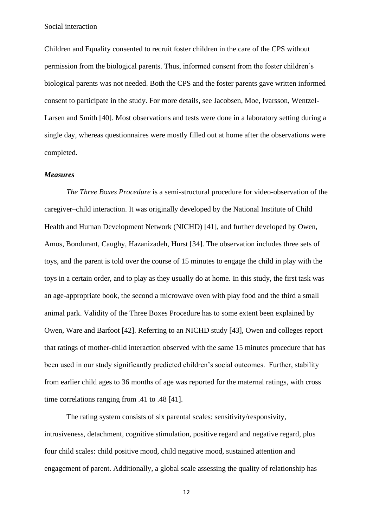Children and Equality consented to recruit foster children in the care of the CPS without permission from the biological parents. Thus, informed consent from the foster children's biological parents was not needed. Both the CPS and the foster parents gave written informed consent to participate in the study. For more details, see Jacobsen, Moe, Ivarsson, Wentzel-Larsen and Smith [40]. Most observations and tests were done in a laboratory setting during a single day, whereas questionnaires were mostly filled out at home after the observations were completed.

## *Measures*

*The Three Boxes Procedure* is a semi-structural procedure for video-observation of the caregiver–child interaction. It was originally developed by the National Institute of Child Health and Human Development Network (NICHD) [41], and further developed by Owen, Amos, Bondurant, Caughy, Hazanizadeh, Hurst [34]. The observation includes three sets of toys, and the parent is told over the course of 15 minutes to engage the child in play with the toys in a certain order, and to play as they usually do at home. In this study, the first task was an age-appropriate book, the second a microwave oven with play food and the third a small animal park. Validity of the Three Boxes Procedure has to some extent been explained by Owen, Ware and Barfoot [42]. Referring to an NICHD study [43], Owen and colleges report that ratings of mother-child interaction observed with the same 15 minutes procedure that has been used in our study significantly predicted children's social outcomes. Further, stability from earlier child ages to 36 months of age was reported for the maternal ratings, with cross time correlations ranging from .41 to .48 [41].

The rating system consists of six parental scales: sensitivity/responsivity, intrusiveness, detachment, cognitive stimulation, positive regard and negative regard, plus four child scales: child positive mood, child negative mood, sustained attention and engagement of parent. Additionally, a global scale assessing the quality of relationship has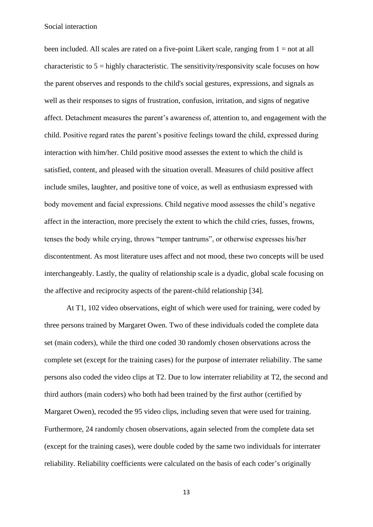been included. All scales are rated on a five-point Likert scale, ranging from 1 = not at all characteristic to  $5 =$  highly characteristic. The sensitivity/responsivity scale focuses on how the parent observes and responds to the child's social gestures, expressions, and signals as well as their responses to signs of frustration, confusion, irritation, and signs of negative affect. Detachment measures the parent's awareness of, attention to, and engagement with the child. Positive regard rates the parent's positive feelings toward the child, expressed during interaction with him/her. Child positive mood assesses the extent to which the child is satisfied, content, and pleased with the situation overall. Measures of child positive affect include smiles, laughter, and positive tone of voice, as well as enthusiasm expressed with body movement and facial expressions. Child negative mood assesses the child's negative affect in the interaction, more precisely the extent to which the child cries, fusses, frowns, tenses the body while crying, throws "temper tantrums", or otherwise expresses his/her discontentment. As most literature uses affect and not mood, these two concepts will be used interchangeably. Lastly, the quality of relationship scale is a dyadic, global scale focusing on the affective and reciprocity aspects of the parent-child relationship [34].

At T1, 102 video observations, eight of which were used for training, were coded by three persons trained by Margaret Owen. Two of these individuals coded the complete data set (main coders), while the third one coded 30 randomly chosen observations across the complete set (except for the training cases) for the purpose of interrater reliability. The same persons also coded the video clips at T2. Due to low interrater reliability at T2, the second and third authors (main coders) who both had been trained by the first author (certified by Margaret Owen), recoded the 95 video clips, including seven that were used for training. Furthermore, 24 randomly chosen observations, again selected from the complete data set (except for the training cases), were double coded by the same two individuals for interrater reliability. Reliability coefficients were calculated on the basis of each coder's originally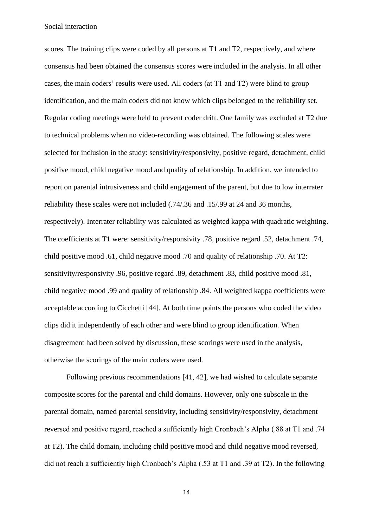scores. The training clips were coded by all persons at T1 and T2, respectively, and where consensus had been obtained the consensus scores were included in the analysis. In all other cases, the main coders' results were used. All coders (at T1 and T2) were blind to group identification, and the main coders did not know which clips belonged to the reliability set. Regular coding meetings were held to prevent coder drift. One family was excluded at T2 due to technical problems when no video-recording was obtained. The following scales were selected for inclusion in the study: sensitivity/responsivity, positive regard, detachment, child positive mood, child negative mood and quality of relationship. In addition, we intended to report on parental intrusiveness and child engagement of the parent, but due to low interrater reliability these scales were not included (.74/.36 and .15/.99 at 24 and 36 months, respectively). Interrater reliability was calculated as weighted kappa with quadratic weighting. The coefficients at T1 were: sensitivity/responsivity .78, positive regard .52, detachment .74, child positive mood .61, child negative mood .70 and quality of relationship .70. At T2: sensitivity/responsivity .96, positive regard .89, detachment .83, child positive mood .81, child negative mood .99 and quality of relationship .84. All weighted kappa coefficients were acceptable according to Cicchetti [44]. At both time points the persons who coded the video clips did it independently of each other and were blind to group identification. When disagreement had been solved by discussion, these scorings were used in the analysis, otherwise the scorings of the main coders were used.

Following previous recommendations [41, 42], we had wished to calculate separate composite scores for the parental and child domains. However, only one subscale in the parental domain, named parental sensitivity, including sensitivity/responsivity, detachment reversed and positive regard, reached a sufficiently high Cronbach's Alpha (.88 at T1 and .74 at T2). The child domain, including child positive mood and child negative mood reversed, did not reach a sufficiently high Cronbach's Alpha (.53 at T1 and .39 at T2). In the following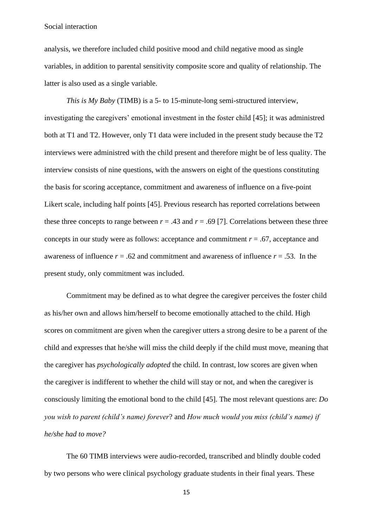analysis, we therefore included child positive mood and child negative mood as single variables, in addition to parental sensitivity composite score and quality of relationship. The latter is also used as a single variable.

*This is My Baby* (TIMB) is a 5- to 15-minute-long semi-structured interview, investigating the caregivers' emotional investment in the foster child [45]; it was administred both at T1 and T2. However, only T1 data were included in the present study because the T2 interviews were administred with the child present and therefore might be of less quality. The interview consists of nine questions, with the answers on eight of the questions constituting the basis for scoring acceptance, commitment and awareness of influence on a five-point Likert scale, including half points [45]. Previous research has reported correlations between these three concepts to range between  $r = .43$  and  $r = .69$  [7]. Correlations between these three concepts in our study were as follows: acceptance and commitment  $r = .67$ , acceptance and awareness of influence  $r = .62$  and commitment and awareness of influence  $r = .53$ . In the present study, only commitment was included.

Commitment may be defined as to what degree the caregiver perceives the foster child as his/her own and allows him/herself to become emotionally attached to the child. High scores on commitment are given when the caregiver utters a strong desire to be a parent of the child and expresses that he/she will miss the child deeply if the child must move, meaning that the caregiver has *psychologically adopted* the child. In contrast, low scores are given when the caregiver is indifferent to whether the child will stay or not, and when the caregiver is consciously limiting the emotional bond to the child [45]. The most relevant questions are: *Do you wish to parent (child's name) forever*? and *How much would you miss (child's name) if he/she had to move?*

The 60 TIMB interviews were audio-recorded, transcribed and blindly double coded by two persons who were clinical psychology graduate students in their final years. These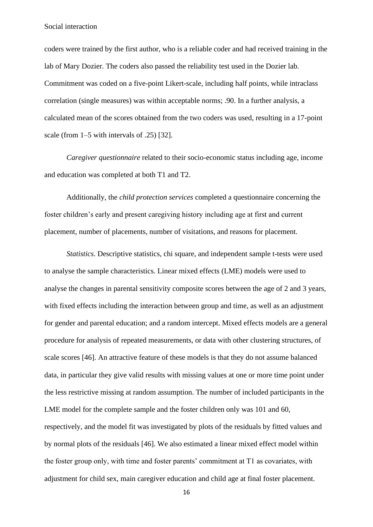coders were trained by the first author, who is a reliable coder and had received training in the lab of Mary Dozier. The coders also passed the reliability test used in the Dozier lab. Commitment was coded on a five-point Likert-scale, including half points, while intraclass correlation (single measures) was within acceptable norms; .90. In a further analysis, a calculated mean of the scores obtained from the two coders was used, resulting in a 17-point scale (from 1–5 with intervals of .25) [32].

*Caregiver questionnaire* related to their socio-economic status including age, income and education was completed at both T1 and T2.

Additionally, the *child protection services* completed a questionnaire concerning the foster children's early and present caregiving history including age at first and current placement, number of placements, number of visitations, and reasons for placement.

*Statistics*. Descriptive statistics, chi square, and independent sample t-tests were used to analyse the sample characteristics. Linear mixed effects (LME) models were used to analyse the changes in parental sensitivity composite scores between the age of 2 and 3 years, with fixed effects including the interaction between group and time, as well as an adjustment for gender and parental education; and a random intercept. Mixed effects models are a general procedure for analysis of repeated measurements, or data with other clustering structures, of scale scores [46]. An attractive feature of these models is that they do not assume balanced data, in particular they give valid results with missing values at one or more time point under the less restrictive missing at random assumption. The number of included participants in the LME model for the complete sample and the foster children only was 101 and 60, respectively, and the model fit was investigated by plots of the residuals by fitted values and by normal plots of the residuals [46]. We also estimated a linear mixed effect model within the foster group only, with time and foster parents' commitment at T1 as covariates, with adjustment for child sex, main caregiver education and child age at final foster placement.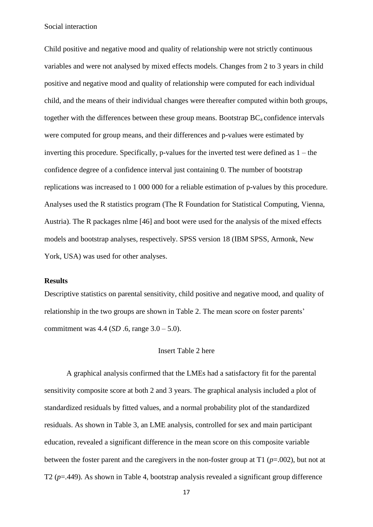Child positive and negative mood and quality of relationship were not strictly continuous variables and were not analysed by mixed effects models. Changes from 2 to 3 years in child positive and negative mood and quality of relationship were computed for each individual child, and the means of their individual changes were thereafter computed within both groups, together with the differences between these group means. Bootstrap  $BC_a$  confidence intervals were computed for group means, and their differences and p-values were estimated by inverting this procedure. Specifically, p-values for the inverted test were defined as 1 – the confidence degree of a confidence interval just containing 0. The number of bootstrap replications was increased to 1 000 000 for a reliable estimation of p-values by this procedure. Analyses used the R statistics program (The R Foundation for Statistical Computing, Vienna, Austria). The R packages nlme [46] and boot were used for the analysis of the mixed effects models and bootstrap analyses, respectively. SPSS version 18 (IBM SPSS, Armonk, New York, USA) was used for other analyses.

## **Results**

Descriptive statistics on parental sensitivity, child positive and negative mood, and quality of relationship in the two groups are shown in Table 2. The mean score on foster parents' commitment was 4.4 (*SD* .6, range 3.0 – 5.0).

#### Insert Table 2 here

A graphical analysis confirmed that the LMEs had a satisfactory fit for the parental sensitivity composite score at both 2 and 3 years. The graphical analysis included a plot of standardized residuals by fitted values, and a normal probability plot of the standardized residuals. As shown in Table 3, an LME analysis, controlled for sex and main participant education, revealed a significant difference in the mean score on this composite variable between the foster parent and the caregivers in the non-foster group at T1 (*p*=.002), but not at T2 (*p*=.449). As shown in Table 4, bootstrap analysis revealed a significant group difference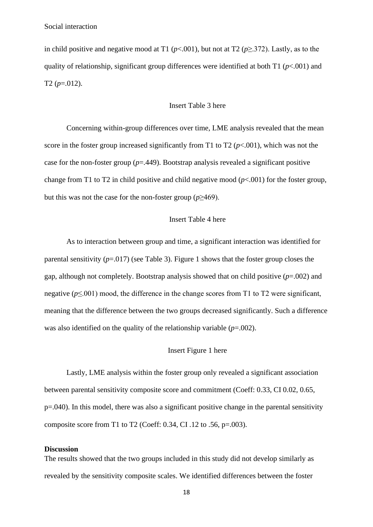in child positive and negative mood at T1 ( $p$ <.001), but not at T2 ( $p$ >.372). Lastly, as to the quality of relationship, significant group differences were identified at both T1 (*p*<.001) and T2  $(p=.012)$ .

## Insert Table 3 here

Concerning within-group differences over time, LME analysis revealed that the mean score in the foster group increased significantly from T1 to T2 ( $p < .001$ ), which was not the case for the non-foster group (*p*=.449). Bootstrap analysis revealed a significant positive change from T1 to T2 in child positive and child negative mood  $(p<.001)$  for the foster group, but this was not the case for the non-foster group  $(p \geq 469)$ .

# Insert Table 4 here

As to interaction between group and time, a significant interaction was identified for parental sensitivity  $(p=0.017)$  (see Table 3). Figure 1 shows that the foster group closes the gap, although not completely. Bootstrap analysis showed that on child positive (*p*=.002) and negative (*p*≤.001) mood, the difference in the change scores from T1 to T2 were significant, meaning that the difference between the two groups decreased significantly. Such a difference was also identified on the quality of the relationship variable (*p*=.002).

#### Insert Figure 1 here

Lastly, LME analysis within the foster group only revealed a significant association between parental sensitivity composite score and commitment (Coeff: 0.33, CI 0.02, 0.65, p=.040). In this model, there was also a significant positive change in the parental sensitivity composite score from T1 to T2 (Coeff:  $0.34$ , CI  $.12$  to  $.56$ , p= $.003$ ).

#### **Discussion**

The results showed that the two groups included in this study did not develop similarly as revealed by the sensitivity composite scales. We identified differences between the foster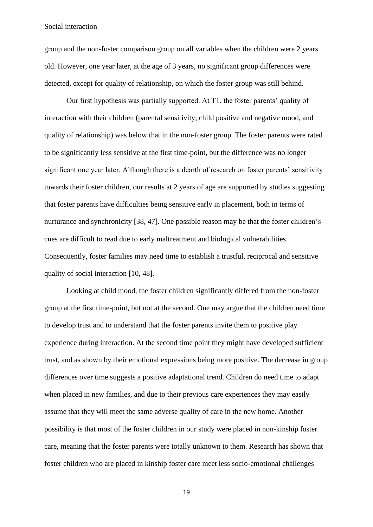group and the non-foster comparison group on all variables when the children were 2 years old. However, one year later, at the age of 3 years, no significant group differences were detected, except for quality of relationship, on which the foster group was still behind.

Our first hypothesis was partially supported. At T1, the foster parents' quality of interaction with their children (parental sensitivity, child positive and negative mood, and quality of relationship) was below that in the non-foster group. The foster parents were rated to be significantly less sensitive at the first time-point, but the difference was no longer significant one year later. Although there is a dearth of research on foster parents' sensitivity towards their foster children, our results at 2 years of age are supported by studies suggesting that foster parents have difficulties being sensitive early in placement, both in terms of nurturance and synchronicity [38, 47]. One possible reason may be that the foster children's cues are difficult to read due to early maltreatment and biological vulnerabilities. Consequently, foster families may need time to establish a trustful, reciprocal and sensitive quality of social interaction [10, 48].

Looking at child mood, the foster children significantly differed from the non-foster group at the first time-point, but not at the second. One may argue that the children need time to develop trust and to understand that the foster parents invite them to positive play experience during interaction. At the second time point they might have developed sufficient trust, and as shown by their emotional expressions being more positive. The decrease in group differences over time suggests a positive adaptational trend. Children do need time to adapt when placed in new families, and due to their previous care experiences they may easily assume that they will meet the same adverse quality of care in the new home. Another possibility is that most of the foster children in our study were placed in non-kinship foster care, meaning that the foster parents were totally unknown to them. Research has shown that foster children who are placed in kinship foster care meet less socio-emotional challenges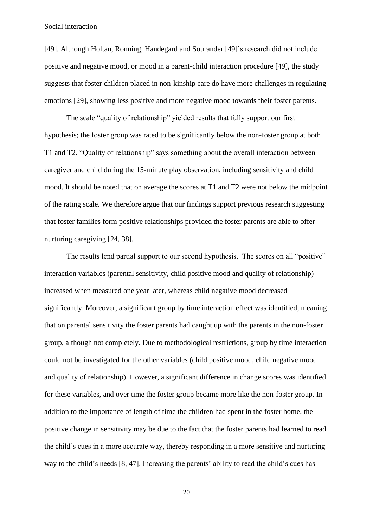[49]. Although Holtan, Ronning, Handegard and Sourander [49]'s research did not include positive and negative mood, or mood in a parent-child interaction procedure [49], the study suggests that foster children placed in non-kinship care do have more challenges in regulating emotions [29], showing less positive and more negative mood towards their foster parents.

The scale "quality of relationship" yielded results that fully support our first hypothesis; the foster group was rated to be significantly below the non-foster group at both T1 and T2. "Quality of relationship" says something about the overall interaction between caregiver and child during the 15-minute play observation, including sensitivity and child mood. It should be noted that on average the scores at T1 and T2 were not below the midpoint of the rating scale. We therefore argue that our findings support previous research suggesting that foster families form positive relationships provided the foster parents are able to offer nurturing caregiving [24, 38].

The results lend partial support to our second hypothesis. The scores on all "positive" interaction variables (parental sensitivity, child positive mood and quality of relationship) increased when measured one year later, whereas child negative mood decreased significantly. Moreover, a significant group by time interaction effect was identified, meaning that on parental sensitivity the foster parents had caught up with the parents in the non-foster group, although not completely. Due to methodological restrictions, group by time interaction could not be investigated for the other variables (child positive mood, child negative mood and quality of relationship). However, a significant difference in change scores was identified for these variables, and over time the foster group became more like the non-foster group. In addition to the importance of length of time the children had spent in the foster home, the positive change in sensitivity may be due to the fact that the foster parents had learned to read the child's cues in a more accurate way, thereby responding in a more sensitive and nurturing way to the child's needs [8, 47]. Increasing the parents' ability to read the child's cues has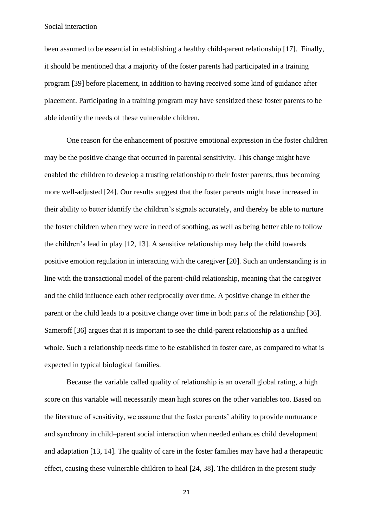been assumed to be essential in establishing a healthy child-parent relationship [17]. Finally, it should be mentioned that a majority of the foster parents had participated in a training program [39] before placement, in addition to having received some kind of guidance after placement. Participating in a training program may have sensitized these foster parents to be able identify the needs of these vulnerable children.

One reason for the enhancement of positive emotional expression in the foster children may be the positive change that occurred in parental sensitivity. This change might have enabled the children to develop a trusting relationship to their foster parents, thus becoming more well-adjusted [24]. Our results suggest that the foster parents might have increased in their ability to better identify the children's signals accurately, and thereby be able to nurture the foster children when they were in need of soothing, as well as being better able to follow the children's lead in play [12, 13]. A sensitive relationship may help the child towards positive emotion regulation in interacting with the caregiver [20]. Such an understanding is in line with the transactional model of the parent-child relationship, meaning that the caregiver and the child influence each other reciprocally over time. A positive change in either the parent or the child leads to a positive change over time in both parts of the relationship [36]. Sameroff [36] argues that it is important to see the child-parent relationship as a unified whole. Such a relationship needs time to be established in foster care, as compared to what is expected in typical biological families.

Because the variable called quality of relationship is an overall global rating, a high score on this variable will necessarily mean high scores on the other variables too. Based on the literature of sensitivity, we assume that the foster parents' ability to provide nurturance and synchrony in child–parent social interaction when needed enhances child development and adaptation [13, 14]. The quality of care in the foster families may have had a therapeutic effect, causing these vulnerable children to heal [24, 38]. The children in the present study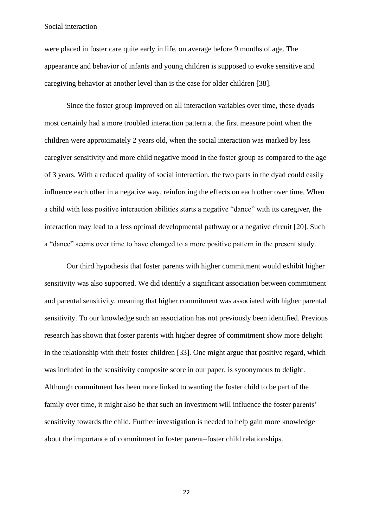were placed in foster care quite early in life, on average before 9 months of age. The appearance and behavior of infants and young children is supposed to evoke sensitive and caregiving behavior at another level than is the case for older children [38].

Since the foster group improved on all interaction variables over time, these dyads most certainly had a more troubled interaction pattern at the first measure point when the children were approximately 2 years old, when the social interaction was marked by less caregiver sensitivity and more child negative mood in the foster group as compared to the age of 3 years. With a reduced quality of social interaction, the two parts in the dyad could easily influence each other in a negative way, reinforcing the effects on each other over time. When a child with less positive interaction abilities starts a negative "dance" with its caregiver, the interaction may lead to a less optimal developmental pathway or a negative circuit [20]. Such a "dance" seems over time to have changed to a more positive pattern in the present study.

Our third hypothesis that foster parents with higher commitment would exhibit higher sensitivity was also supported. We did identify a significant association between commitment and parental sensitivity, meaning that higher commitment was associated with higher parental sensitivity. To our knowledge such an association has not previously been identified. Previous research has shown that foster parents with higher degree of commitment show more delight in the relationship with their foster children [33]. One might argue that positive regard, which was included in the sensitivity composite score in our paper, is synonymous to delight. Although commitment has been more linked to wanting the foster child to be part of the family over time, it might also be that such an investment will influence the foster parents' sensitivity towards the child. Further investigation is needed to help gain more knowledge about the importance of commitment in foster parent–foster child relationships.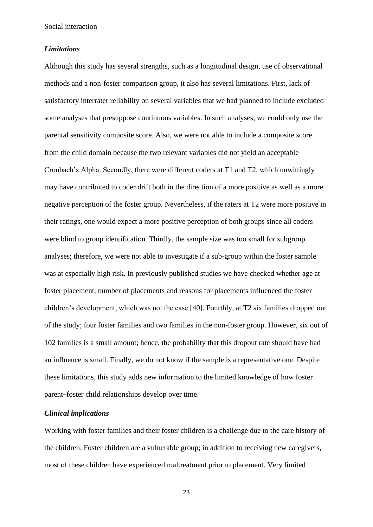#### *Limitations*

Although this study has several strengths, such as a longitudinal design, use of observational methods and a non-foster comparison group, it also has several limitations. First, lack of satisfactory interrater reliability on several variables that we had planned to include excluded some analyses that presuppose continuous variables. In such analyses, we could only use the parental sensitivity composite score. Also, we were not able to include a composite score from the child domain because the two relevant variables did not yield an acceptable Cronbach's Alpha. Secondly, there were different coders at T1 and T2, which unwittingly may have contributed to coder drift both in the direction of a more positive as well as a more negative perception of the foster group. Nevertheless, if the raters at T2 were more positive in their ratings, one would expect a more positive perception of both groups since all coders were blind to group identification. Thirdly, the sample size was too small for subgroup analyses; therefore, we were not able to investigate if a sub-group within the foster sample was at especially high risk. In previously published studies we have checked whether age at foster placement, number of placements and reasons for placements influenced the foster children's development, which was not the case [40]. Fourthly, at T2 six families dropped out of the study; four foster families and two families in the non-foster group. However, six out of 102 families is a small amount; hence, the probability that this dropout rate should have had an influence is small. Finally, we do not know if the sample is a representative one. Despite these limitations, this study adds new information to the limited knowledge of how foster parent–foster child relationships develop over time.

# *Clinical implications*

Working with foster families and their foster children is a challenge due to the care history of the children. Foster children are a vulnerable group; in addition to receiving new caregivers, most of these children have experienced maltreatment prior to placement. Very limited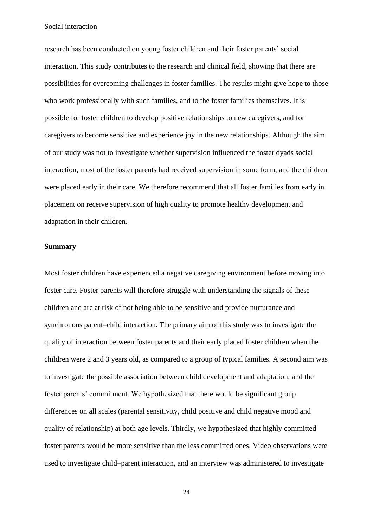research has been conducted on young foster children and their foster parents' social interaction. This study contributes to the research and clinical field, showing that there are possibilities for overcoming challenges in foster families. The results might give hope to those who work professionally with such families, and to the foster families themselves. It is possible for foster children to develop positive relationships to new caregivers, and for caregivers to become sensitive and experience joy in the new relationships. Although the aim of our study was not to investigate whether supervision influenced the foster dyads social interaction, most of the foster parents had received supervision in some form, and the children were placed early in their care. We therefore recommend that all foster families from early in placement on receive supervision of high quality to promote healthy development and adaptation in their children.

#### **Summary**

Most foster children have experienced a negative caregiving environment before moving into foster care. Foster parents will therefore struggle with understanding the signals of these children and are at risk of not being able to be sensitive and provide nurturance and synchronous parent–child interaction. The primary aim of this study was to investigate the quality of interaction between foster parents and their early placed foster children when the children were 2 and 3 years old, as compared to a group of typical families. A second aim was to investigate the possible association between child development and adaptation, and the foster parents' commitment. We hypothesized that there would be significant group differences on all scales (parental sensitivity, child positive and child negative mood and quality of relationship) at both age levels. Thirdly, we hypothesized that highly committed foster parents would be more sensitive than the less committed ones. Video observations were used to investigate child–parent interaction, and an interview was administered to investigate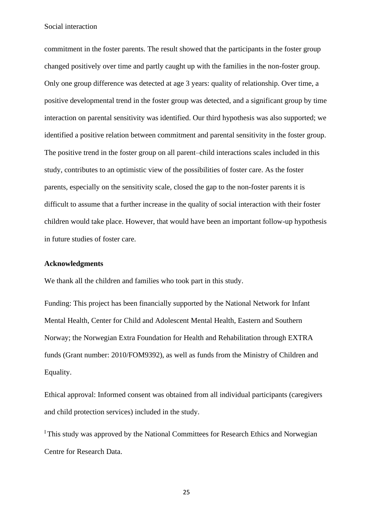commitment in the foster parents. The result showed that the participants in the foster group changed positively over time and partly caught up with the families in the non-foster group. Only one group difference was detected at age 3 years: quality of relationship. Over time, a positive developmental trend in the foster group was detected, and a significant group by time interaction on parental sensitivity was identified. Our third hypothesis was also supported; we identified a positive relation between commitment and parental sensitivity in the foster group. The positive trend in the foster group on all parent–child interactions scales included in this study, contributes to an optimistic view of the possibilities of foster care. As the foster parents, especially on the sensitivity scale, closed the gap to the non-foster parents it is difficult to assume that a further increase in the quality of social interaction with their foster children would take place. However, that would have been an important follow-up hypothesis in future studies of foster care.

## **Acknowledgments**

We thank all the children and families who took part in this study.

Funding: This project has been financially supported by the National Network for Infant Mental Health, Center for Child and Adolescent Mental Health, Eastern and Southern Norway; the Norwegian Extra Foundation for Health and Rehabilitation through EXTRA funds (Grant number: 2010/FOM9392), as well as funds from the Ministry of Children and Equality.

Ethical approval: Informed consent was obtained from all individual participants (caregivers and child protection services) included in the study.

<sup>I</sup>This study was approved by the National Committees for Research Ethics and Norwegian Centre for Research Data.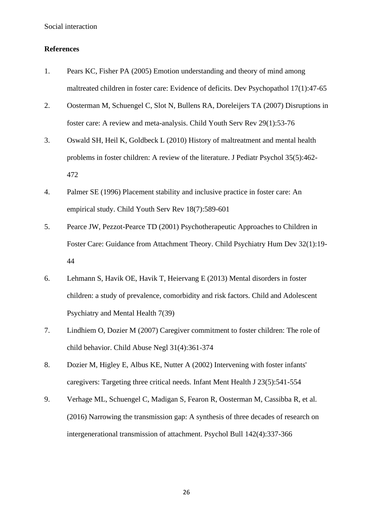# **References**

- 1. Pears KC, Fisher PA (2005) Emotion understanding and theory of mind among maltreated children in foster care: Evidence of deficits. Dev Psychopathol 17(1):47-65
- 2. Oosterman M, Schuengel C, Slot N, Bullens RA, Doreleijers TA (2007) Disruptions in foster care: A review and meta-analysis. Child Youth Serv Rev 29(1):53-76
- 3. Oswald SH, Heil K, Goldbeck L (2010) History of maltreatment and mental health problems in foster children: A review of the literature. J Pediatr Psychol 35(5):462- 472
- 4. Palmer SE (1996) Placement stability and inclusive practice in foster care: An empirical study. Child Youth Serv Rev 18(7):589-601
- 5. Pearce JW, Pezzot-Pearce TD (2001) Psychotherapeutic Approaches to Children in Foster Care: Guidance from Attachment Theory. Child Psychiatry Hum Dev 32(1):19- 44
- 6. Lehmann S, Havik OE, Havik T, Heiervang E (2013) Mental disorders in foster children: a study of prevalence, comorbidity and risk factors. Child and Adolescent Psychiatry and Mental Health 7(39)
- 7. Lindhiem O, Dozier M (2007) Caregiver commitment to foster children: The role of child behavior. Child Abuse Negl 31(4):361-374
- 8. Dozier M, Higley E, Albus KE, Nutter A (2002) Intervening with foster infants' caregivers: Targeting three critical needs. Infant Ment Health J 23(5):541-554
- 9. Verhage ML, Schuengel C, Madigan S, Fearon R, Oosterman M, Cassibba R, et al. (2016) Narrowing the transmission gap: A synthesis of three decades of research on intergenerational transmission of attachment. Psychol Bull 142(4):337-366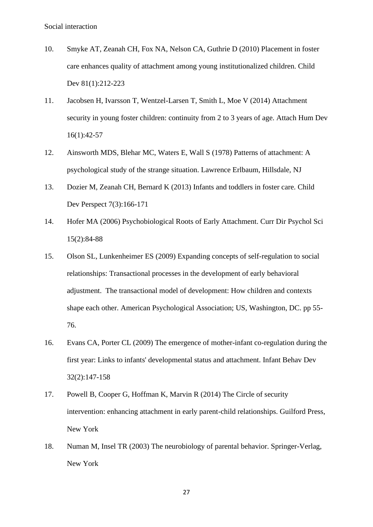- 10. Smyke AT, Zeanah CH, Fox NA, Nelson CA, Guthrie D (2010) Placement in foster care enhances quality of attachment among young institutionalized children. Child Dev 81(1):212-223
- 11. Jacobsen H, Ivarsson T, Wentzel-Larsen T, Smith L, Moe V (2014) Attachment security in young foster children: continuity from 2 to 3 years of age. Attach Hum Dev 16(1):42-57
- 12. Ainsworth MDS, Blehar MC, Waters E, Wall S (1978) Patterns of attachment: A psychological study of the strange situation. Lawrence Erlbaum, Hillsdale, NJ
- 13. Dozier M, Zeanah CH, Bernard K (2013) Infants and toddlers in foster care. Child Dev Perspect 7(3):166-171
- 14. Hofer MA (2006) Psychobiological Roots of Early Attachment. Curr Dir Psychol Sci 15(2):84-88
- 15. Olson SL, Lunkenheimer ES (2009) Expanding concepts of self-regulation to social relationships: Transactional processes in the development of early behavioral adjustment. The transactional model of development: How children and contexts shape each other. American Psychological Association; US, Washington, DC. pp 55- 76.
- 16. Evans CA, Porter CL (2009) The emergence of mother-infant co-regulation during the first year: Links to infants' developmental status and attachment. Infant Behav Dev 32(2):147-158
- 17. Powell B, Cooper G, Hoffman K, Marvin R (2014) The Circle of security intervention: enhancing attachment in early parent-child relationships. Guilford Press, New York
- 18. Numan M, Insel TR (2003) The neurobiology of parental behavior. Springer-Verlag, New York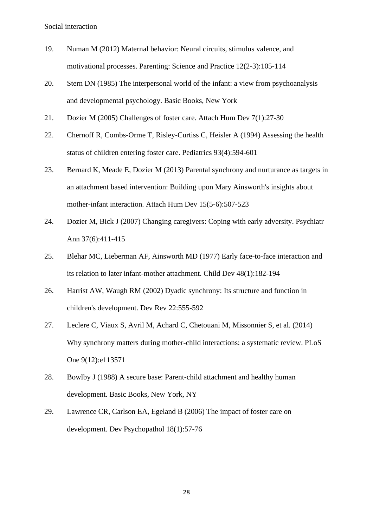- 19. Numan M (2012) Maternal behavior: Neural circuits, stimulus valence, and motivational processes. Parenting: Science and Practice 12(2-3):105-114
- 20. Stern DN (1985) The interpersonal world of the infant: a view from psychoanalysis and developmental psychology. Basic Books, New York
- 21. Dozier M (2005) Challenges of foster care. Attach Hum Dev 7(1):27-30
- 22. Chernoff R, Combs-Orme T, Risley-Curtiss C, Heisler A (1994) Assessing the health status of children entering foster care. Pediatrics 93(4):594-601
- 23. Bernard K, Meade E, Dozier M (2013) Parental synchrony and nurturance as targets in an attachment based intervention: Building upon Mary Ainsworth's insights about mother-infant interaction. Attach Hum Dev 15(5-6):507-523
- 24. Dozier M, Bick J (2007) Changing caregivers: Coping with early adversity. Psychiatr Ann 37(6):411-415
- 25. Blehar MC, Lieberman AF, Ainsworth MD (1977) Early face-to-face interaction and its relation to later infant-mother attachment. Child Dev 48(1):182-194
- 26. Harrist AW, Waugh RM (2002) Dyadic synchrony: Its structure and function in children's development. Dev Rev 22:555-592
- 27. Leclere C, Viaux S, Avril M, Achard C, Chetouani M, Missonnier S, et al. (2014) Why synchrony matters during mother-child interactions: a systematic review. PLoS One 9(12):e113571
- 28. Bowlby J (1988) A secure base: Parent-child attachment and healthy human development. Basic Books, New York, NY
- 29. Lawrence CR, Carlson EA, Egeland B (2006) The impact of foster care on development. Dev Psychopathol 18(1):57-76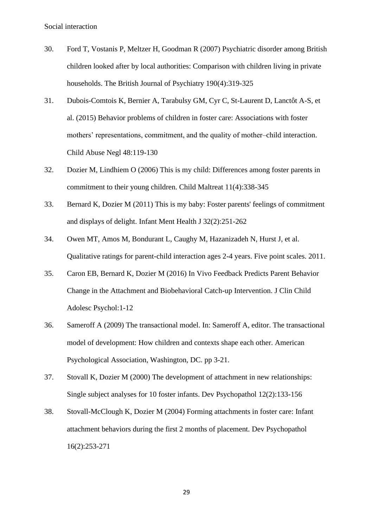- 30. Ford T, Vostanis P, Meltzer H, Goodman R (2007) Psychiatric disorder among British children looked after by local authorities: Comparison with children living in private households. The British Journal of Psychiatry 190(4):319-325
- 31. Dubois-Comtois K, Bernier A, Tarabulsy GM, Cyr C, St-Laurent D, Lanctôt A-S, et al. (2015) Behavior problems of children in foster care: Associations with foster mothers' representations, commitment, and the quality of mother–child interaction. Child Abuse Negl 48:119-130
- 32. Dozier M, Lindhiem O (2006) This is my child: Differences among foster parents in commitment to their young children. Child Maltreat 11(4):338-345
- 33. Bernard K, Dozier M (2011) This is my baby: Foster parents' feelings of commitment and displays of delight. Infant Ment Health J 32(2):251-262
- 34. Owen MT, Amos M, Bondurant L, Caughy M, Hazanizadeh N, Hurst J, et al. Qualitative ratings for parent-child interaction ages 2-4 years. Five point scales. 2011.
- 35. Caron EB, Bernard K, Dozier M (2016) In Vivo Feedback Predicts Parent Behavior Change in the Attachment and Biobehavioral Catch-up Intervention. J Clin Child Adolesc Psychol:1-12
- 36. Sameroff A (2009) The transactional model. In: Sameroff A, editor. The transactional model of development: How children and contexts shape each other. American Psychological Association, Washington, DC. pp 3-21.
- 37. Stovall K, Dozier M (2000) The development of attachment in new relationships: Single subject analyses for 10 foster infants. Dev Psychopathol 12(2):133-156
- 38. Stovall-McClough K, Dozier M (2004) Forming attachments in foster care: Infant attachment behaviors during the first 2 months of placement. Dev Psychopathol 16(2):253-271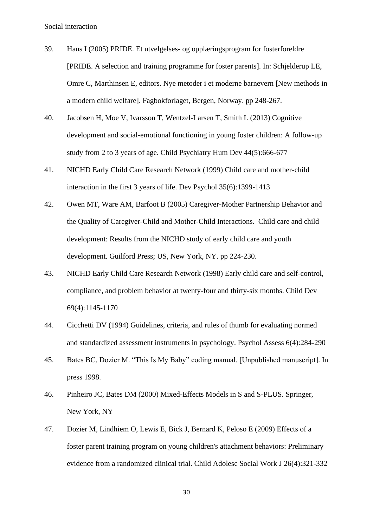- 39. Haus I (2005) PRIDE. Et utvelgelses- og opplæringsprogram for fosterforeldre [PRIDE. A selection and training programme for foster parents]. In: Schjelderup LE, Omre C, Marthinsen E, editors. Nye metoder i et moderne barnevern [New methods in a modern child welfare]. Fagbokforlaget, Bergen, Norway. pp 248-267.
- 40. Jacobsen H, Moe V, Ivarsson T, Wentzel-Larsen T, Smith L (2013) Cognitive development and social-emotional functioning in young foster children: A follow-up study from 2 to 3 years of age. Child Psychiatry Hum Dev 44(5):666-677
- 41. NICHD Early Child Care Research Network (1999) Child care and mother-child interaction in the first 3 years of life. Dev Psychol 35(6):1399-1413
- 42. Owen MT, Ware AM, Barfoot B (2005) Caregiver-Mother Partnership Behavior and the Quality of Caregiver-Child and Mother-Child Interactions. Child care and child development: Results from the NICHD study of early child care and youth development. Guilford Press; US, New York, NY. pp 224-230.
- 43. NICHD Early Child Care Research Network (1998) Early child care and self-control, compliance, and problem behavior at twenty-four and thirty-six months. Child Dev 69(4):1145-1170
- 44. Cicchetti DV (1994) Guidelines, criteria, and rules of thumb for evaluating normed and standardized assessment instruments in psychology. Psychol Assess 6(4):284-290
- 45. Bates BC, Dozier M. "This Is My Baby" coding manual. [Unpublished manuscript]. In press 1998.
- 46. Pinheiro JC, Bates DM (2000) Mixed-Effects Models in S and S-PLUS. Springer, New York, NY
- 47. Dozier M, Lindhiem O, Lewis E, Bick J, Bernard K, Peloso E (2009) Effects of a foster parent training program on young children's attachment behaviors: Preliminary evidence from a randomized clinical trial. Child Adolesc Social Work J 26(4):321-332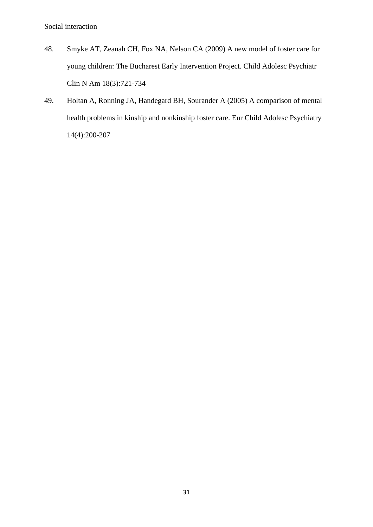- 48. Smyke AT, Zeanah CH, Fox NA, Nelson CA (2009) A new model of foster care for young children: The Bucharest Early Intervention Project. Child Adolesc Psychiatr Clin N Am 18(3):721-734
- 49. Holtan A, Ronning JA, Handegard BH, Sourander A (2005) A comparison of mental health problems in kinship and nonkinship foster care. Eur Child Adolesc Psychiatry 14(4):200-207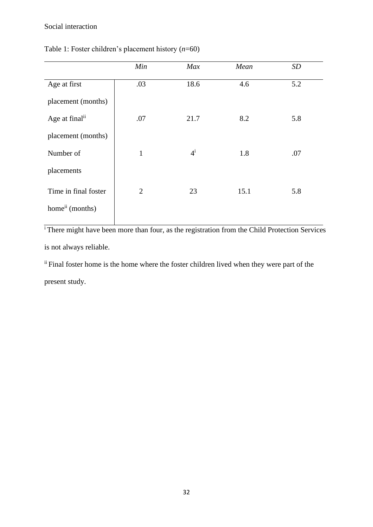|                             | Min            | <b>Max</b> | Mean | SD  |
|-----------------------------|----------------|------------|------|-----|
| Age at first                | .03            | 18.6       | 4.6  | 5.2 |
| placement (months)          |                |            |      |     |
| Age at final <sup>ii</sup>  | .07            | 21.7       | 8.2  | 5.8 |
| placement (months)          |                |            |      |     |
| Number of                   | $\mathbf{1}$   | $4^{i}$    | 1.8  | .07 |
| placements                  |                |            |      |     |
| Time in final foster        | $\overline{2}$ | 23         | 15.1 | 5.8 |
| home <sup>ii</sup> (months) |                |            |      |     |

# Table 1: Foster children's placement history (*n*=60)

<sup>i</sup>There might have been more than four, as the registration from the Child Protection Services is not always reliable.

ii Final foster home is the home where the foster children lived when they were part of the present study.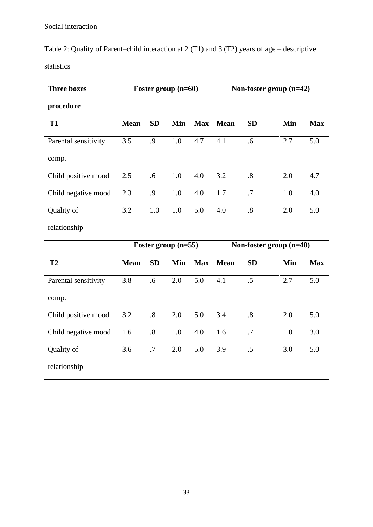Table 2: Quality of Parent–child interaction at 2 (T1) and 3 (T2) years of age – descriptive statistics

| <b>Three boxes</b>   | Foster group $(n=60)$ |           |     | Non-foster group $(n=42)$ |             |                   |     |            |
|----------------------|-----------------------|-----------|-----|---------------------------|-------------|-------------------|-----|------------|
| procedure            |                       |           |     |                           |             |                   |     |            |
| <b>T1</b>            | <b>Mean</b>           | <b>SD</b> | Min | <b>Max</b>                | <b>Mean</b> | <b>SD</b>         | Min | <b>Max</b> |
| Parental sensitivity | 3.5                   | .9        | 1.0 | 4.7                       | 4.1         | .6                | 2.7 | 5.0        |
| comp.                |                       |           |     |                           |             |                   |     |            |
| Child positive mood  | 2.5                   | .6        | 1.0 | 4.0                       | 3.2         | $\boldsymbol{.8}$ | 2.0 | 4.7        |
| Child negative mood  | 2.3                   | .9        | 1.0 | 4.0                       | 1.7         | .7                | 1.0 | 4.0        |
| Quality of           | 3.2                   | 1.0       | 1.0 | 5.0                       | 4.0         | .8                | 2.0 | 5.0        |
| relationship         |                       |           |     |                           |             |                   |     |            |

|                      | Foster group $(n=55)$ |                   |     | Non-foster group $(n=40)$ |             |           |     |            |
|----------------------|-----------------------|-------------------|-----|---------------------------|-------------|-----------|-----|------------|
| T <sub>2</sub>       | <b>Mean</b>           | <b>SD</b>         | Min | Max                       | <b>Mean</b> | <b>SD</b> | Min | <b>Max</b> |
| Parental sensitivity | 3.8                   | .6                | 2.0 | 5.0                       | 4.1         | $.5\,$    | 2.7 | 5.0        |
| comp.                |                       |                   |     |                           |             |           |     |            |
| Child positive mood  | 3.2                   | $\cdot$ 8         | 2.0 | 5.0                       | 3.4         | .8        | 2.0 | 5.0        |
| Child negative mood  | 1.6                   | $\boldsymbol{.8}$ | 1.0 | 4.0                       | 1.6         | .7        | 1.0 | 3.0        |
| Quality of           | 3.6                   | .7                | 2.0 | 5.0                       | 3.9         | .5        | 3.0 | 5.0        |
| relationship         |                       |                   |     |                           |             |           |     |            |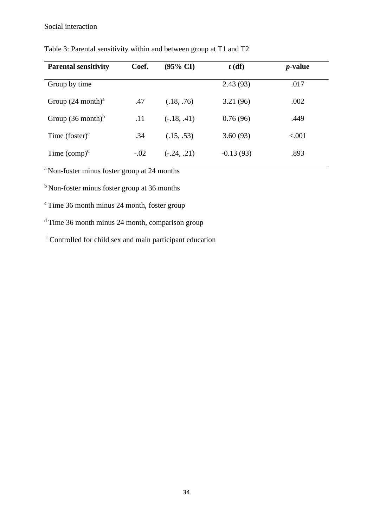| <b>Parental sensitivity</b>  | Coef.  | $(95\% \text{ CI})$ | $t$ (df)    | <i>p</i> -value |  |
|------------------------------|--------|---------------------|-------------|-----------------|--|
| Group by time                |        |                     | 2.43(93)    | .017            |  |
| Group $(24 \text{ month})^a$ | .47    | (.18, .76)          | 3.21(96)    | .002            |  |
| Group $(36 \text{ month})^b$ | .11    | $(-.18, .41)$       | 0.76(96)    | .449            |  |
| Time $(foster)^c$            | .34    | (.15, .53)          | 3.60(93)    | < .001          |  |
| Time $\rm (comp)^d$          | $-.02$ | $(-.24, .21)$       | $-0.13(93)$ | .893            |  |

Table 3: Parental sensitivity within and between group at T1 and T2

<sup>a</sup>Non-foster minus foster group at 24 months

 $<sup>b</sup>$  Non-foster minus foster group at 36 months</sup>

 $\textdegree$  Time 36 month minus 24 month, foster group

 $d$  Time 36 month minus 24 month, comparison group

<sup>i</sup> Controlled for child sex and main participant education